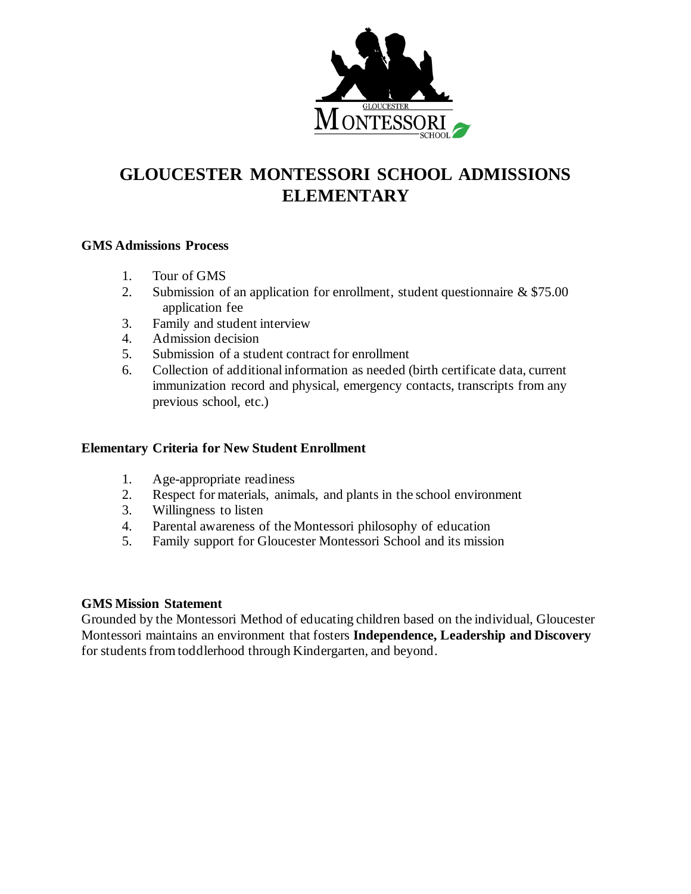

### **GLOUCESTER MONTESSORI SCHOOL ADMISSIONS ELEMENTARY**

### **GMS Admissions Process**

- 1. Tour of GMS
- 2. Submission of an application for enrollment, student questionnaire & \$75.00 application fee
- 3. Family and student interview
- 4. Admission decision
- 5. Submission of a student contract for enrollment
- 6. Collection of additional information as needed (birth certificate data, current immunization record and physical, emergency contacts, transcripts from any previous school, etc.)

### **Elementary Criteria for New Student Enrollment**

- 1. Age-appropriate readiness
- 2. Respect for materials, animals, and plants in the school environment
- 3. Willingness to listen
- 4. Parental awareness of the Montessori philosophy of education
- 5. Family support for Gloucester Montessori School and its mission

#### **GMS Mission Statement**

Grounded by the Montessori Method of educating children based on the individual, Gloucester Montessori maintains an environment that fosters **Independence, Leadership and Discovery**  for students from toddlerhood through Kindergarten, and beyond.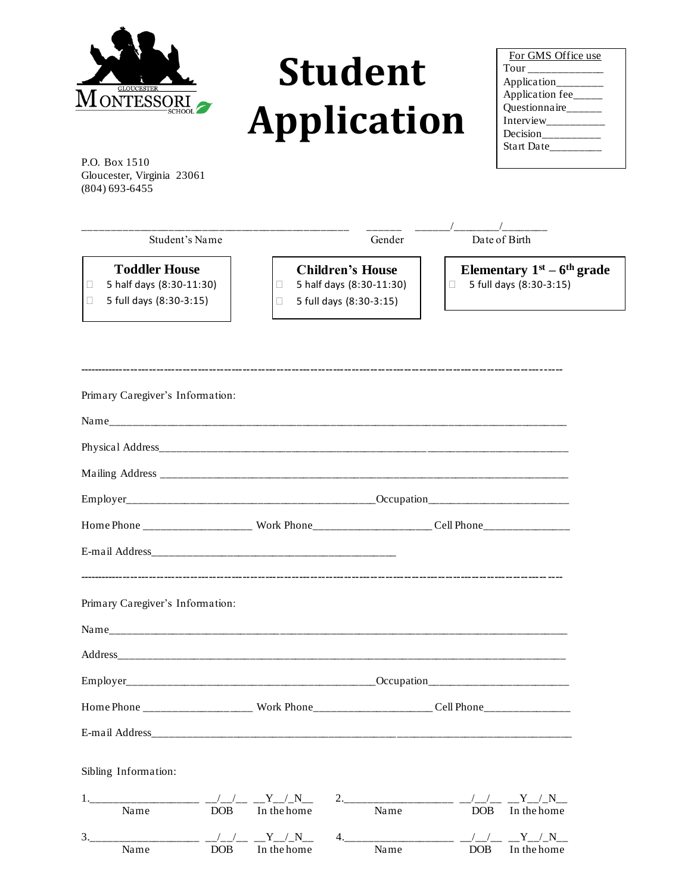

# **Student Application**

| For GMS Office use  |  |
|---------------------|--|
| Tour ___________    |  |
| Application________ |  |
| Application fee____ |  |
| Questionnaire       |  |
|                     |  |
| Decision_________   |  |
| Start Date__        |  |
|                     |  |

P.O. Box 1510 Gloucester, Virginia 23061 (804) 693-6455

| Student's Name                                                              | Gender                                                                         | Date of Birth                                           |
|-----------------------------------------------------------------------------|--------------------------------------------------------------------------------|---------------------------------------------------------|
| <b>Toddler House</b><br>5 half days (8:30-11:30)<br>5 full days (8:30-3:15) | <b>Children's House</b><br>5 half days (8:30-11:30)<br>5 full days (8:30-3:15) | Elementary $1st - 6th$ grade<br>5 full days (8:30-3:15) |
|                                                                             |                                                                                |                                                         |

| Primary Caregiver's Information:                   |                 |      |                              |
|----------------------------------------------------|-----------------|------|------------------------------|
|                                                    |                 |      |                              |
|                                                    |                 |      |                              |
|                                                    |                 |      |                              |
|                                                    |                 |      |                              |
|                                                    |                 |      |                              |
|                                                    |                 |      |                              |
| Primary Caregiver's Information:                   |                 |      |                              |
|                                                    |                 |      |                              |
|                                                    |                 |      |                              |
|                                                    |                 |      |                              |
|                                                    |                 |      |                              |
|                                                    |                 |      |                              |
| Sibling Information:                               |                 |      |                              |
| Name                                               | DOB In the home | Name | DOB In the home              |
| 3. ____________________ _/_/_/__ __Y_/_N__<br>Name | DOB In the home | Name | / / Y / N<br>DOB In the home |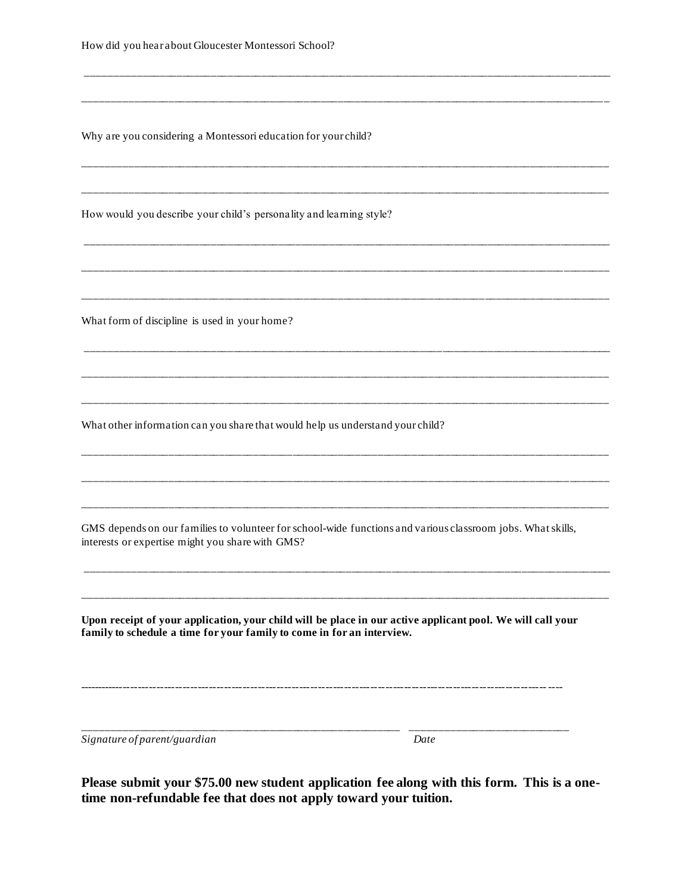| How did you hear about Gloucester Montessori School?                                                                                                                                 |      |  |  |
|--------------------------------------------------------------------------------------------------------------------------------------------------------------------------------------|------|--|--|
|                                                                                                                                                                                      |      |  |  |
| Why are you considering a Montessori education for your child?                                                                                                                       |      |  |  |
|                                                                                                                                                                                      |      |  |  |
| How would you describe your child's personality and learning style?                                                                                                                  |      |  |  |
|                                                                                                                                                                                      |      |  |  |
| What form of discipline is used in your home?                                                                                                                                        |      |  |  |
|                                                                                                                                                                                      |      |  |  |
| What other information can you share that would help us understand your child?                                                                                                       |      |  |  |
|                                                                                                                                                                                      |      |  |  |
| GMS depends on our families to volunteer for school-wide functions and various classroom jobs. What skills,<br>interests or expertise might you share with GMS?                      |      |  |  |
|                                                                                                                                                                                      |      |  |  |
| Upon receipt of your application, your child will be place in our active applicant pool. We will call your<br>family to schedule a time for your family to come in for an interview. |      |  |  |
|                                                                                                                                                                                      |      |  |  |
|                                                                                                                                                                                      |      |  |  |
| Signature of parent/guardian                                                                                                                                                         | Date |  |  |

Please submit your \$75.00 new student application fee along with this form. This is a one-<br>time non-refundable fee that does not apply toward your tuition.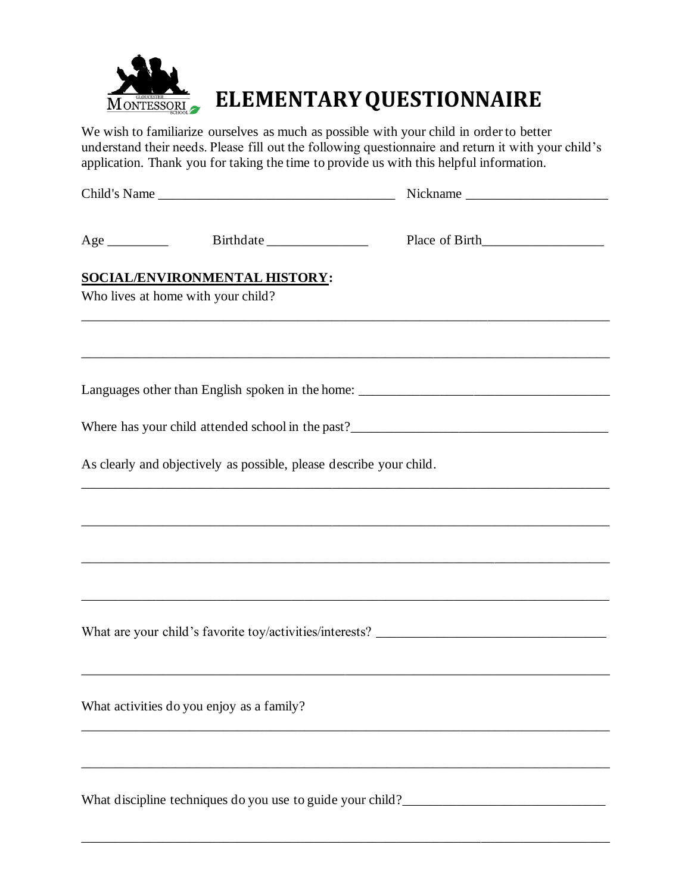

## **MONTESSORIA ELEMENTARY QUESTIONNAIRE**

We wish to familiarize ourselves as much as possible with your child in order to better understand their needs. Please fill out the following questionnaire and return it with your child's application. Thank you for taking the time to provide us with this helpful information.

|                                                                     | Nickname                                                                          |
|---------------------------------------------------------------------|-----------------------------------------------------------------------------------|
|                                                                     |                                                                                   |
|                                                                     |                                                                                   |
|                                                                     |                                                                                   |
| SOCIAL/ENVIRONMENTAL HISTORY:<br>Who lives at home with your child? |                                                                                   |
|                                                                     | ,我们也不能在这里的时候,我们也不能在这里的时候,我们也不能在这里的时候,我们也不能会在这里的时候,我们也不能会在这里的时候,我们也不能会在这里的时候,我们也不能 |
|                                                                     |                                                                                   |
|                                                                     |                                                                                   |
|                                                                     |                                                                                   |
|                                                                     |                                                                                   |
| As clearly and objectively as possible, please describe your child. |                                                                                   |
|                                                                     |                                                                                   |
|                                                                     |                                                                                   |
|                                                                     | ,我们也不能在这里的时候,我们也不能在这里的时候,我们也不能会在这里的时候,我们也不能会在这里的时候,我们也不能会在这里的时候,我们也不能会在这里的时候,我们也不 |
|                                                                     |                                                                                   |
|                                                                     |                                                                                   |
| What activities do you enjoy as a family?                           |                                                                                   |
|                                                                     |                                                                                   |
|                                                                     |                                                                                   |
|                                                                     |                                                                                   |
|                                                                     |                                                                                   |

\_\_\_\_\_\_\_\_\_\_\_\_\_\_\_\_\_\_\_\_\_\_\_\_\_\_\_\_\_\_\_\_\_\_\_\_\_\_\_\_\_\_\_\_\_\_\_\_\_\_\_\_\_\_\_\_\_\_\_\_\_\_\_\_\_\_\_\_\_\_\_\_\_\_\_\_\_\_